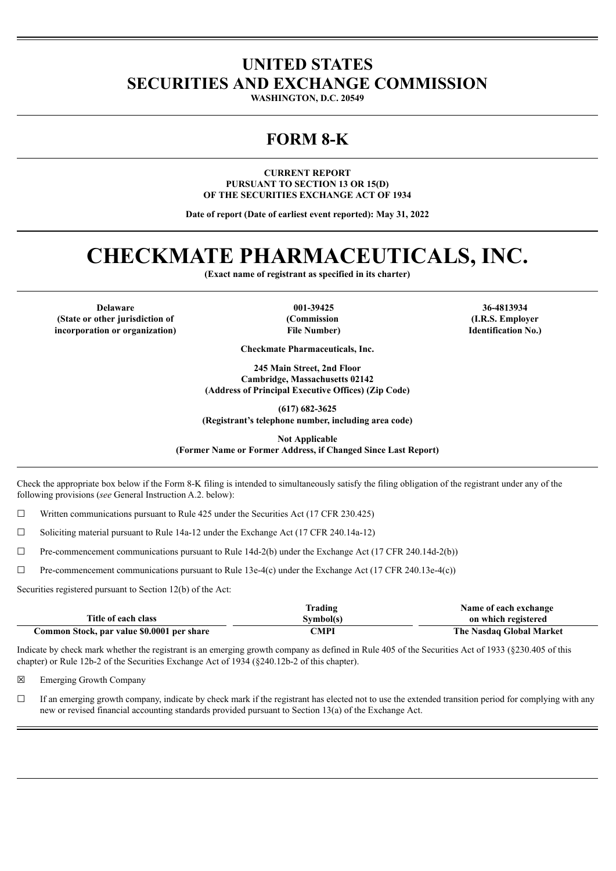# **UNITED STATES SECURITIES AND EXCHANGE COMMISSION**

**WASHINGTON, D.C. 20549**

## **FORM 8-K**

**CURRENT REPORT PURSUANT TO SECTION 13 OR 15(D) OF THE SECURITIES EXCHANGE ACT OF 1934**

**Date of report (Date of earliest event reported): May 31, 2022**

# **CHECKMATE PHARMACEUTICALS, INC.**

**(Exact name of registrant as specified in its charter)**

**Delaware 001-39425 36-4813934 (State or other jurisdiction of incorporation or organization)**

**(Commission File Number)**

**(I.R.S. Employer Identification No.)**

**Checkmate Pharmaceuticals, Inc.**

**245 Main Street, 2nd Floor Cambridge, Massachusetts 02142 (Address of Principal Executive Offices) (Zip Code)**

**(617) 682-3625**

**(Registrant's telephone number, including area code)**

**Not Applicable**

**(Former Name or Former Address, if Changed Since Last Report)**

Check the appropriate box below if the Form 8-K filing is intended to simultaneously satisfy the filing obligation of the registrant under any of the following provisions (*see* General Instruction A.2. below):

 $\Box$  Written communications pursuant to Rule 425 under the Securities Act (17 CFR 230.425)

☐ Soliciting material pursuant to Rule 14a-12 under the Exchange Act (17 CFR 240.14a-12)

 $\Box$  Pre-commencement communications pursuant to Rule 14d-2(b) under the Exchange Act (17 CFR 240.14d-2(b))

☐ Pre-commencement communications pursuant to Rule 13e-4(c) under the Exchange Act (17 CFR 240.13e-4(c))

Securities registered pursuant to Section 12(b) of the Act:

|                                            | Trading   | Name of each exchange    |
|--------------------------------------------|-----------|--------------------------|
| Title of each class                        | Symbol(s) | on which registered      |
| Common Stock, par value \$0.0001 per share | CMPI      | The Nasdaq Global Market |

Indicate by check mark whether the registrant is an emerging growth company as defined in Rule 405 of the Securities Act of 1933 (§230.405 of this chapter) or Rule 12b-2 of the Securities Exchange Act of 1934 (§240.12b-2 of this chapter).

☒ Emerging Growth Company

 $\Box$  If an emerging growth company, indicate by check mark if the registrant has elected not to use the extended transition period for complying with any new or revised financial accounting standards provided pursuant to Section 13(a) of the Exchange Act.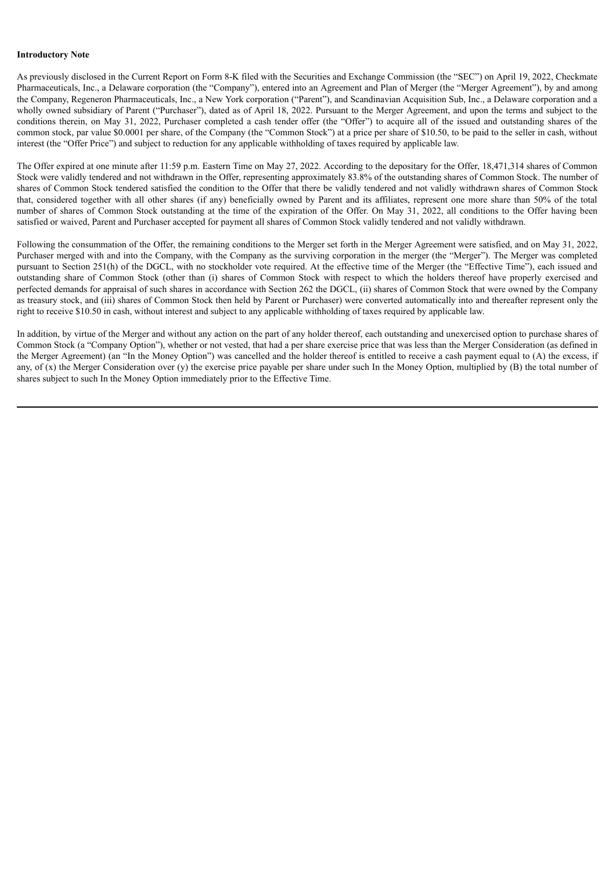#### **Introductory Note**

As previously disclosed in the Current Report on Form 8-K filed with the Securities and Exchange Commission (the "SEC") on April 19, 2022, Checkmate Pharmaceuticals, Inc., a Delaware corporation (the "Company"), entered into an Agreement and Plan of Merger (the "Merger Agreement"), by and among the Company, Regeneron Pharmaceuticals, Inc., a New York corporation ("Parent"), and Scandinavian Acquisition Sub, Inc., a Delaware corporation and a wholly owned subsidiary of Parent ("Purchaser"), dated as of April 18, 2022. Pursuant to the Merger Agreement, and upon the terms and subject to the conditions therein, on May 31, 2022, Purchaser completed a cash tender offer (the "Offer") to acquire all of the issued and outstanding shares of the common stock, par value \$0.0001 per share, of the Company (the "Common Stock") at a price per share of \$10.50, to be paid to the seller in cash, without interest (the "Offer Price") and subject to reduction for any applicable withholding of taxes required by applicable law.

The Offer expired at one minute after 11:59 p.m. Eastern Time on May 27, 2022. According to the depositary for the Offer, 18,471,314 shares of Common Stock were validly tendered and not withdrawn in the Offer, representing approximately 83.8% of the outstanding shares of Common Stock. The number of shares of Common Stock tendered satisfied the condition to the Offer that there be validly tendered and not validly withdrawn shares of Common Stock that, considered together with all other shares (if any) beneficially owned by Parent and its affiliates, represent one more share than 50% of the total number of shares of Common Stock outstanding at the time of the expiration of the Offer. On May 31, 2022, all conditions to the Offer having been satisfied or waived, Parent and Purchaser accepted for payment all shares of Common Stock validly tendered and not validly withdrawn.

Following the consummation of the Offer, the remaining conditions to the Merger set forth in the Merger Agreement were satisfied, and on May 31, 2022, Purchaser merged with and into the Company, with the Company as the surviving corporation in the merger (the "Merger"). The Merger was completed pursuant to Section 251(h) of the DGCL, with no stockholder vote required. At the effective time of the Merger (the "Effective Time"), each issued and outstanding share of Common Stock (other than (i) shares of Common Stock with respect to which the holders thereof have properly exercised and perfected demands for appraisal of such shares in accordance with Section 262 the DGCL, (ii) shares of Common Stock that were owned by the Company as treasury stock, and (iii) shares of Common Stock then held by Parent or Purchaser) were converted automatically into and thereafter represent only the right to receive \$10.50 in cash, without interest and subject to any applicable withholding of taxes required by applicable law.

In addition, by virtue of the Merger and without any action on the part of any holder thereof, each outstanding and unexercised option to purchase shares of Common Stock (a "Company Option"), whether or not vested, that had a per share exercise price that was less than the Merger Consideration (as defined in the Merger Agreement) (an "In the Money Option") was cancelled and the holder thereof is entitled to receive a cash payment equal to (A) the excess, if any, of (x) the Merger Consideration over (y) the exercise price payable per share under such In the Money Option, multiplied by (B) the total number of shares subject to such In the Money Option immediately prior to the Effective Time.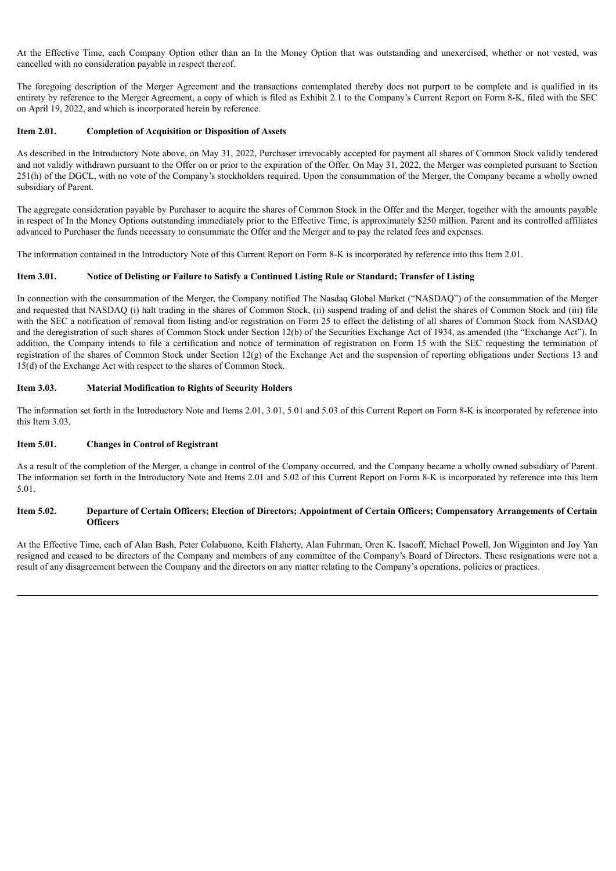At the Effective Time, each Company Option other than an In the Money Option that was outstanding and unexercised, whether or not vested, was cancelled with no consideration payable in respect thereof.

The foregoing description of the Merger Agreement and the transactions contemplated thereby does not purport to be complete and is qualified in its entirety by reference to the Merger Agreement, a copy of which is filed as Exhibit 2.1 to the Company's Current Report on Form 8-K, filed with the SEC on April 19, 2022, and which is incorporated herein by reference.

## **Item 2.01. Completion of Acquisition or Disposition of Assets**

As described in the Introductory Note above, on May 31, 2022, Purchaser irrevocably accepted for payment all shares of Common Stock validly tendered and not validly withdrawn pursuant to the Offer on or prior to the expiration of the Offer. On May 31, 2022, the Merger was completed pursuant to Section 251(h) of the DGCL, with no vote of the Company's stockholders required. Upon the consummation of the Merger, the Company became a wholly owned subsidiary of Parent.

The aggregate consideration payable by Purchaser to acquire the shares of Common Stock in the Offer and the Merger, together with the amounts payable in respect of In the Money Options outstanding immediately prior to the Effective Time, is approximately \$250 million. Parent and its controlled affiliates advanced to Purchaser the funds necessary to consummate the Offer and the Merger and to pay the related fees and expenses.

The information contained in the Introductory Note of this Current Report on Form 8-K is incorporated by reference into this Item 2.01.

## Item 3.01. Notice of Delisting or Failure to Satisfy a Continued Listing Rule or Standard; Transfer of Listing

In connection with the consummation of the Merger, the Company notified The Nasdaq Global Market ("NASDAQ") of the consummation of the Merger and requested that NASDAQ (i) halt trading in the shares of Common Stock, (ii) suspend trading of and delist the shares of Common Stock and (iii) file with the SEC a notification of removal from listing and/or registration on Form 25 to effect the delisting of all shares of Common Stock from NASDAQ and the deregistration of such shares of Common Stock under Section 12(b) of the Securities Exchange Act of 1934, as amended (the "Exchange Act"). In addition, the Company intends to file a certification and notice of termination of registration on Form 15 with the SEC requesting the termination of registration of the shares of Common Stock under Section 12(g) of the Exchange Act and the suspension of reporting obligations under Sections 13 and 15(d) of the Exchange Act with respect to the shares of Common Stock.

## **Item 3.03. Material Modification to Rights of Security Holders**

The information set forth in the Introductory Note and Items 2.01, 3.01, 5.01 and 5.03 of this Current Report on Form 8-K is incorporated by reference into this Item 3.03.

## **Item 5.01. Changes in Control of Registrant**

As a result of the completion of the Merger, a change in control of the Company occurred, and the Company became a wholly owned subsidiary of Parent. The information set forth in the Introductory Note and Items 2.01 and 5.02 of this Current Report on Form 8-K is incorporated by reference into this Item 5.01.

## Item 5.02. Departure of Certain Officers; Election of Directors; Appointment of Certain Officers; Compensatory Arrangements of Certain **Officers**

At the Effective Time, each of Alan Bash, Peter Colabuono, Keith Flaherty, Alan Fuhrman, Oren K. Isacoff, Michael Powell, Jon Wigginton and Joy Yan resigned and ceased to be directors of the Company and members of any committee of the Company's Board of Directors. These resignations were not a result of any disagreement between the Company and the directors on any matter relating to the Company's operations, policies or practices.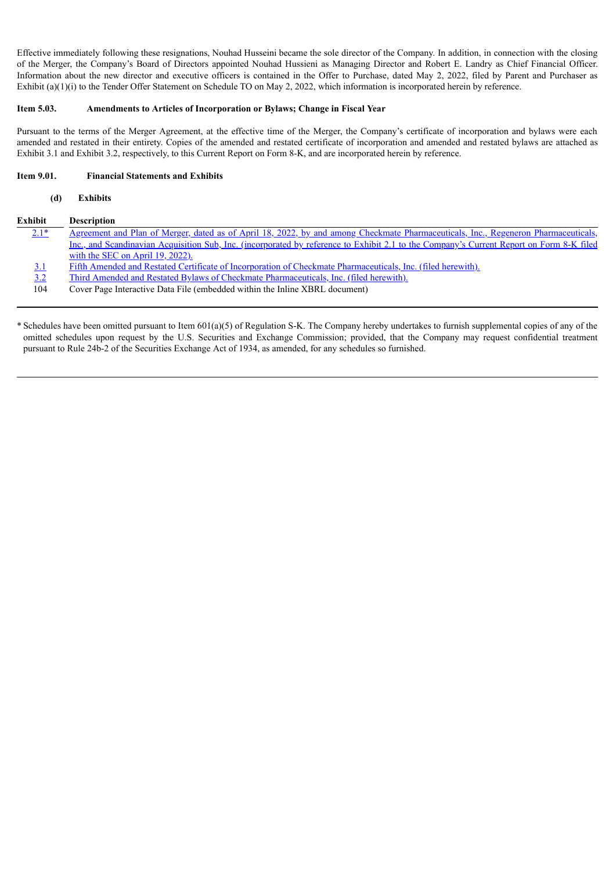Effective immediately following these resignations, Nouhad Husseini became the sole director of the Company. In addition, in connection with the closing of the Merger, the Company's Board of Directors appointed Nouhad Hussieni as Managing Director and Robert E. Landry as Chief Financial Officer. Information about the new director and executive officers is contained in the Offer to Purchase, dated May 2, 2022, filed by Parent and Purchaser as Exhibit (a)(1)(i) to the Tender Offer Statement on Schedule TO on May 2, 2022, which information is incorporated herein by reference.

## **Item 5.03. Amendments to Articles of Incorporation or Bylaws; Change in Fiscal Year**

Pursuant to the terms of the Merger Agreement, at the effective time of the Merger, the Company's certificate of incorporation and bylaws were each amended and restated in their entirety. Copies of the amended and restated certificate of incorporation and amended and restated bylaws are attached as Exhibit 3.1 and Exhibit 3.2, respectively, to this Current Report on Form 8-K, and are incorporated herein by reference.

## **Item 9.01. Financial Statements and Exhibits**

**(d) Exhibits**

| Exhibit    | <b>Description</b>                                                                                                                        |
|------------|-------------------------------------------------------------------------------------------------------------------------------------------|
| $2.1*$     | <u>Agreement and Plan of Merger, dated as of April 18, 2022, by and among Checkmate Pharmaceuticals, Inc., Regeneron Pharmaceuticals,</u> |
|            | Inc., and Scandinavian Acquisition Sub, Inc. (incorporated by reference to Exhibit 2.1 to the Company's Current Report on Form 8-K filed  |
|            | with the SEC on April $19, 2022$ ).                                                                                                       |
| <u>3.1</u> | Fifth Amended and Restated Certificate of Incorporation of Checkmate Pharmaceuticals, Inc. (filed herewith).                              |
| 3.2        | Third Amended and Restated Bylaws of Checkmate Pharmaceuticals, Inc. (filed herewith).                                                    |
| 104        | Cover Page Interactive Data File (embedded within the Inline XBRL document)                                                               |
|            |                                                                                                                                           |

\* Schedules have been omitted pursuant to Item  $601(a)(5)$  of Regulation S-K. The Company hereby undertakes to furnish supplemental copies of any of the omitted schedules upon request by the U.S. Securities and Exchange Commission; provided, that the Company may request confidential treatment pursuant to Rule 24b-2 of the Securities Exchange Act of 1934, as amended, for any schedules so furnished.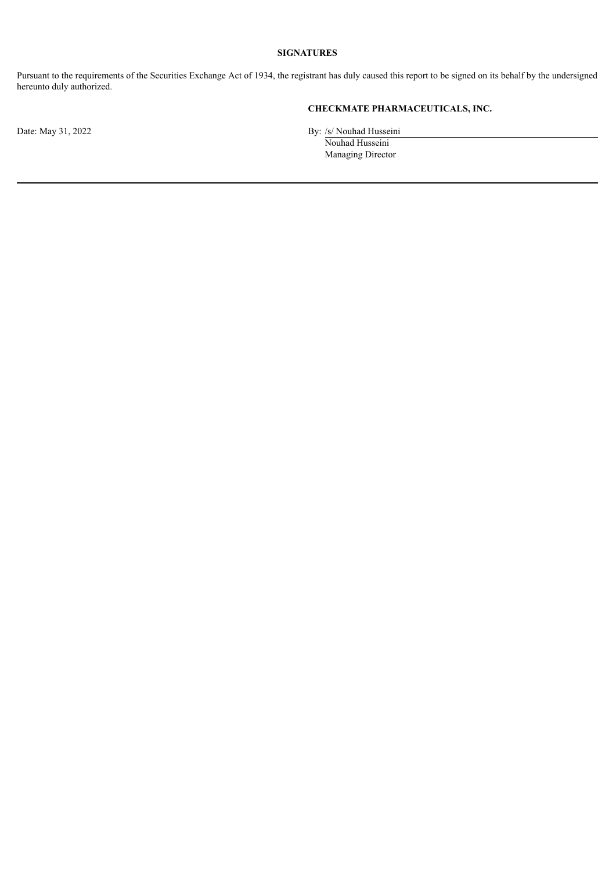## **SIGNATURES**

Pursuant to the requirements of the Securities Exchange Act of 1934, the registrant has duly caused this report to be signed on its behalf by the undersigned hereunto duly authorized.

## **CHECKMATE PHARMACEUTICALS, INC.**

Date: May 31, 2022 By: /s/ Nouhad Husseini

Nouhad Husseini Managing Director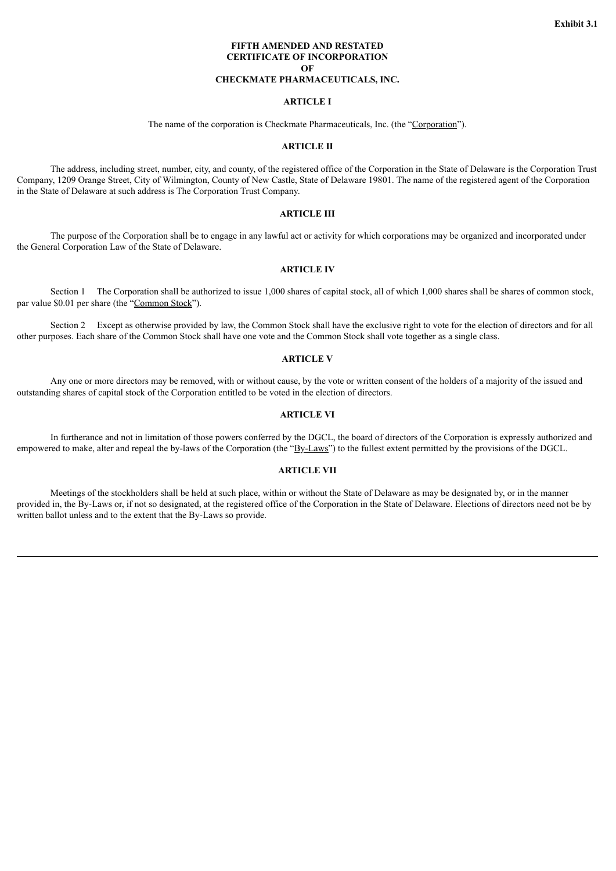## **FIFTH AMENDED AND RESTATED CERTIFICATE OF INCORPORATION OF CHECKMATE PHARMACEUTICALS, INC.**

#### **ARTICLE I**

The name of the corporation is Checkmate Pharmaceuticals, Inc. (the "Corporation").

#### **ARTICLE II**

<span id="page-5-0"></span>The address, including street, number, city, and county, of the registered office of the Corporation in the State of Delaware is the Corporation Trust Company, 1209 Orange Street, City of Wilmington, County of New Castle, State of Delaware 19801. The name of the registered agent of the Corporation in the State of Delaware at such address is The Corporation Trust Company.

## **ARTICLE III**

The purpose of the Corporation shall be to engage in any lawful act or activity for which corporations may be organized and incorporated under the General Corporation Law of the State of Delaware.

#### **ARTICLE IV**

Section 1 The Corporation shall be authorized to issue 1,000 shares of capital stock, all of which 1,000 shares shall be shares of common stock, par value \$0.01 per share (the "Common Stock").

Section 2 Except as otherwise provided by law, the Common Stock shall have the exclusive right to vote for the election of directors and for all other purposes. Each share of the Common Stock shall have one vote and the Common Stock shall vote together as a single class.

#### **ARTICLE V**

Any one or more directors may be removed, with or without cause, by the vote or written consent of the holders of a majority of the issued and outstanding shares of capital stock of the Corporation entitled to be voted in the election of directors.

## **ARTICLE VI**

In furtherance and not in limitation of those powers conferred by the DGCL, the board of directors of the Corporation is expressly authorized and empowered to make, alter and repeal the by-laws of the Corporation (the "By-Laws") to the fullest extent permitted by the provisions of the DGCL.

## **ARTICLE VII**

Meetings of the stockholders shall be held at such place, within or without the State of Delaware as may be designated by, or in the manner provided in, the By-Laws or, if not so designated, at the registered office of the Corporation in the State of Delaware. Elections of directors need not be by written ballot unless and to the extent that the By-Laws so provide.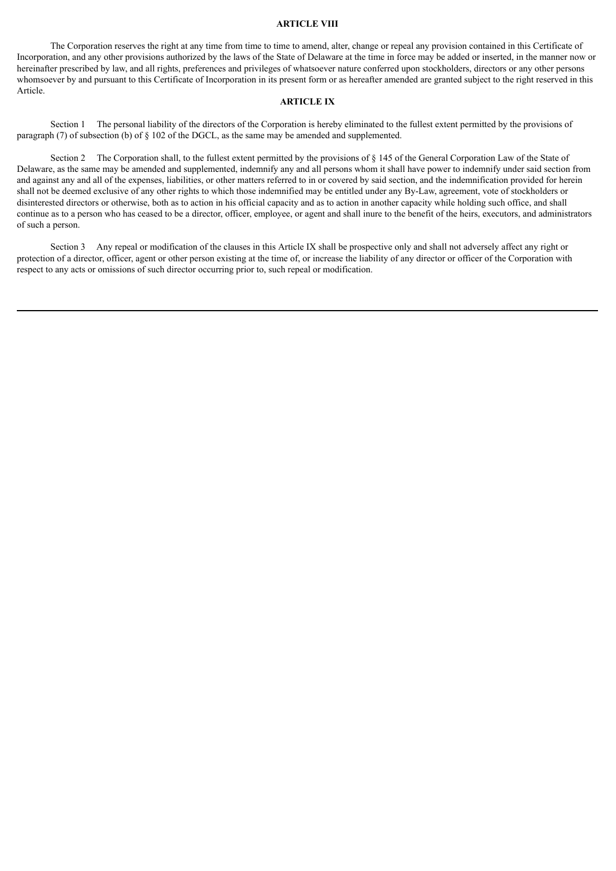#### **ARTICLE VIII**

The Corporation reserves the right at any time from time to time to amend, alter, change or repeal any provision contained in this Certificate of Incorporation, and any other provisions authorized by the laws of the State of Delaware at the time in force may be added or inserted, in the manner now or hereinafter prescribed by law, and all rights, preferences and privileges of whatsoever nature conferred upon stockholders, directors or any other persons whomsoever by and pursuant to this Certificate of Incorporation in its present form or as hereafter amended are granted subject to the right reserved in this Article.

#### **ARTICLE IX**

Section 1 The personal liability of the directors of the Corporation is hereby eliminated to the fullest extent permitted by the provisions of paragraph (7) of subsection (b) of § 102 of the DGCL, as the same may be amended and supplemented.

Section 2 The Corporation shall, to the fullest extent permitted by the provisions of  $\frac{145}{145}$  of the General Corporation Law of the State of Delaware, as the same may be amended and supplemented, indemnify any and all persons whom it shall have power to indemnify under said section from and against any and all of the expenses, liabilities, or other matters referred to in or covered by said section, and the indemnification provided for herein shall not be deemed exclusive of any other rights to which those indemnified may be entitled under any By-Law, agreement, vote of stockholders or disinterested directors or otherwise, both as to action in his official capacity and as to action in another capacity while holding such office, and shall continue as to a person who has ceased to be a director, officer, employee, or agent and shall inure to the benefit of the heirs, executors, and administrators of such a person.

Section 3 Any repeal or modification of the clauses in this Article IX shall be prospective only and shall not adversely affect any right or protection of a director, officer, agent or other person existing at the time of, or increase the liability of any director or officer of the Corporation with respect to any acts or omissions of such director occurring prior to, such repeal or modification.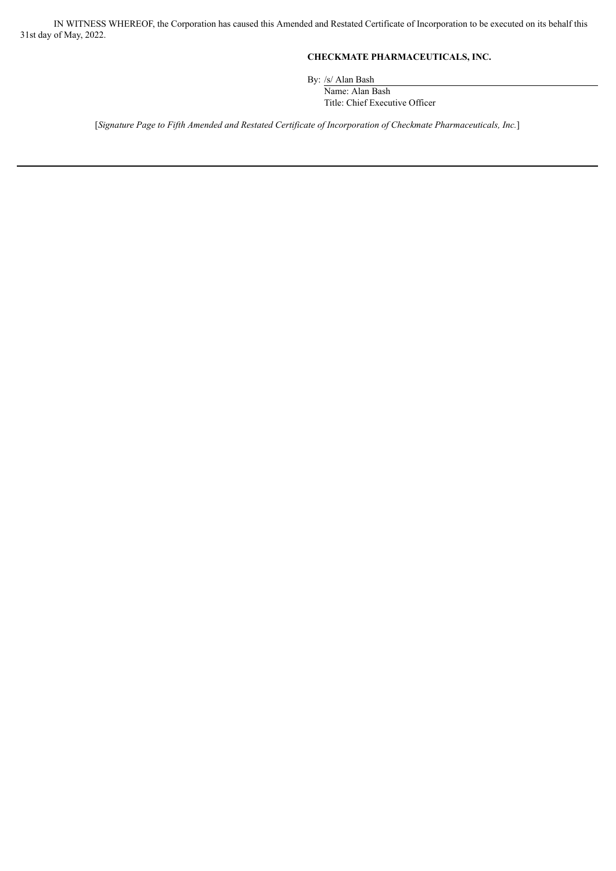IN WITNESS WHEREOF, the Corporation has caused this Amended and Restated Certificate of Incorporation to be executed on its behalf this 31st day of May, 2022.

## **CHECKMATE PHARMACEUTICALS, INC.**

By: /s/ Alan Bash Name: Alan Bash Title: Chief Executive Officer

[*Signature Page to Fifth Amended and Restated Certificate of Incorporation of Checkmate Pharmaceuticals, Inc.*]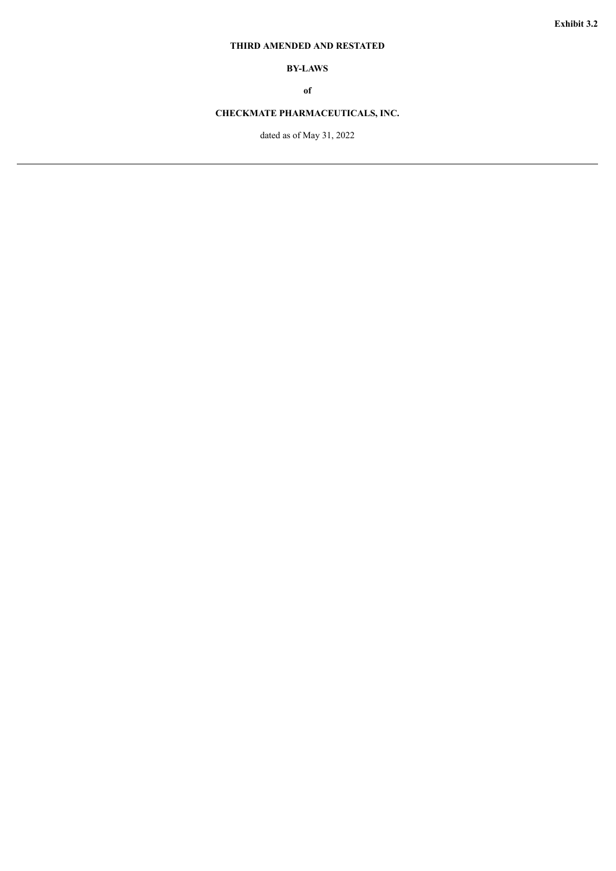## <span id="page-8-0"></span>**THIRD AMENDED AND RESTATED**

## **BY-LAWS**

**of**

## **CHECKMATE PHARMACEUTICALS, INC.**

dated as of May 31, 2022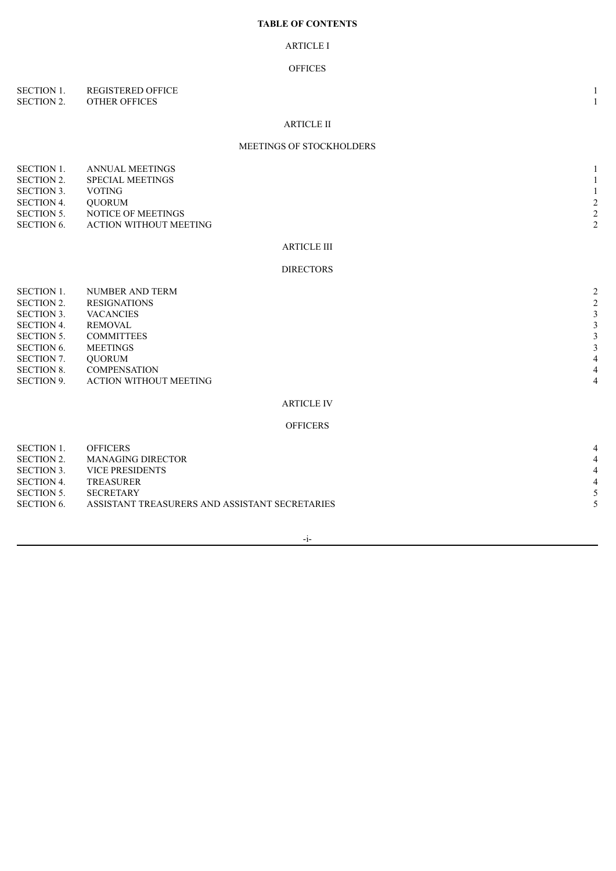## **TABLE OF CONTENTS**

## ARTICLE I

## **OFFICES**

SECTION 1. REGISTERED OFFICE 1<br>SECTION 2. OTHER OFFICES 1 OTHER OFFICES

## ARTICLE II

## MEETINGS OF STOCKHOLDERS

| <b>SECTION 1.</b> | ANNUAL MEETINGS         |   |
|-------------------|-------------------------|---|
| <b>SECTION 2.</b> | <b>SPECIAL MEETINGS</b> |   |
| <b>SECTION 3.</b> | VOTING.                 |   |
| <b>SECTION 4.</b> | <b>OUORUM</b>           | 2 |
| <b>SECTION 5.</b> | NOTICE OF MEETINGS      | 2 |
| <b>SECTION 6.</b> | ACTION WITHOUT MEETING  | 2 |
|                   |                         |   |

## ARTICLE III

## DIRECTORS

| <b>SECTION 1.</b> | NUMBER AND TERM               |                   | 2              |
|-------------------|-------------------------------|-------------------|----------------|
| <b>SECTION 2.</b> | <b>RESIGNATIONS</b>           |                   | 2              |
| <b>SECTION 3.</b> | <b>VACANCIES</b>              |                   | 3              |
| <b>SECTION 4.</b> | REMOVAL                       |                   | 3              |
| <b>SECTION 5.</b> | <b>COMMITTEES</b>             |                   | 3              |
| <b>SECTION 6.</b> | <b>MEETINGS</b>               |                   | 3              |
| <b>SECTION 7.</b> | <b>OUORUM</b>                 |                   | 4              |
| <b>SECTION 8.</b> | <b>COMPENSATION</b>           |                   | $\overline{4}$ |
| <b>SECTION 9.</b> | <b>ACTION WITHOUT MEETING</b> |                   | $\overline{4}$ |
|                   |                               |                   |                |
|                   |                               | <b>ARTICLE IV</b> |                |
|                   |                               |                   |                |

## **OFFICERS**

| <b>SECTION 1.</b> | <b>OFFICERS</b>                                | $\overline{4}$ |
|-------------------|------------------------------------------------|----------------|
| <b>SECTION 2.</b> | <b>MANAGING DIRECTOR</b>                       | $\overline{4}$ |
| SECTION 3.        | VICE PRESIDENTS                                | $\overline{4}$ |
| <b>SECTION 4.</b> | <b>TREASURER</b>                               | $\overline{4}$ |
| <b>SECTION 5.</b> | <b>SECRETARY</b>                               |                |
| <b>SECTION 6.</b> | ASSISTANT TREASURERS AND ASSISTANT SECRETARIES |                |
|                   |                                                |                |
|                   |                                                |                |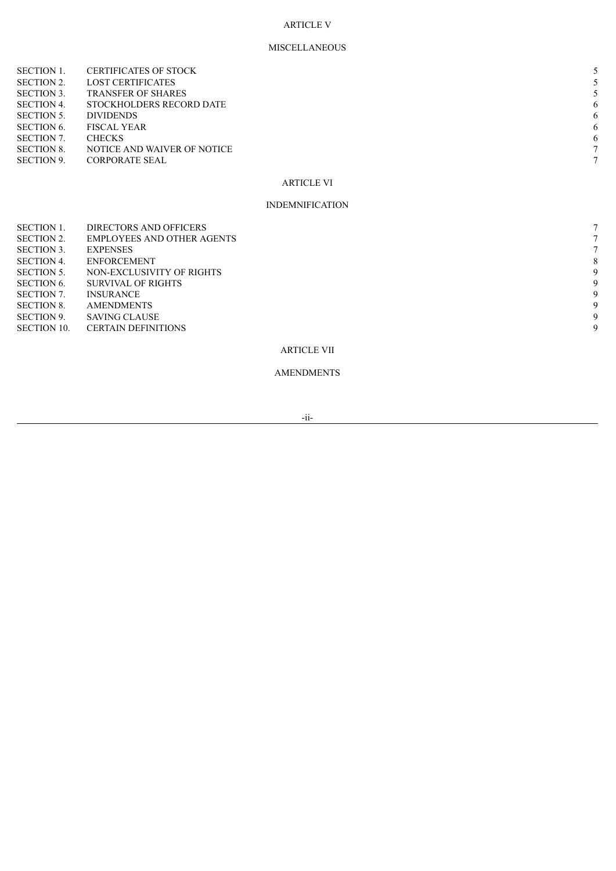## ARTICLE V

## MISCELLANEOUS

| <b>SECTION 1.</b><br><b>SECTION 2.</b><br><b>SECTION 3.</b><br><b>SECTION 4.</b><br><b>SECTION 5.</b><br><b>SECTION 6.</b><br><b>SECTION 7.</b><br><b>SECTION 8.</b><br><b>SECTION 9.</b>                       | <b>CERTIFICATES OF STOCK</b><br><b>LOST CERTIFICATES</b><br><b>TRANSFER OF SHARES</b><br>STOCKHOLDERS RECORD DATE<br><b>DIVIDENDS</b><br><b>FISCAL YEAR</b><br><b>CHECKS</b><br>NOTICE AND WAIVER OF NOTICE<br><b>CORPORATE SEAL</b>                          |                        | 5<br>5<br>5<br>6<br>6<br>6<br>6<br>$\tau$<br>$\tau$ |
|-----------------------------------------------------------------------------------------------------------------------------------------------------------------------------------------------------------------|---------------------------------------------------------------------------------------------------------------------------------------------------------------------------------------------------------------------------------------------------------------|------------------------|-----------------------------------------------------|
|                                                                                                                                                                                                                 |                                                                                                                                                                                                                                                               | <b>ARTICLE VI</b>      |                                                     |
|                                                                                                                                                                                                                 |                                                                                                                                                                                                                                                               | <b>INDEMNIFICATION</b> |                                                     |
| <b>SECTION 1.</b><br><b>SECTION 2.</b><br><b>SECTION 3.</b><br><b>SECTION 4.</b><br><b>SECTION 5.</b><br><b>SECTION 6.</b><br><b>SECTION 7.</b><br><b>SECTION 8.</b><br><b>SECTION 9.</b><br><b>SECTION 10.</b> | DIRECTORS AND OFFICERS<br><b>EMPLOYEES AND OTHER AGENTS</b><br><b>EXPENSES</b><br><b>ENFORCEMENT</b><br>NON-EXCLUSIVITY OF RIGHTS<br><b>SURVIVAL OF RIGHTS</b><br><b>INSURANCE</b><br><b>AMENDMENTS</b><br><b>SAVING CLAUSE</b><br><b>CERTAIN DEFINITIONS</b> |                        | 7<br>7<br>7<br>8<br>9<br>9<br>9<br>9<br>9<br>9      |

## ARTICLE VII

## AMENDMENTS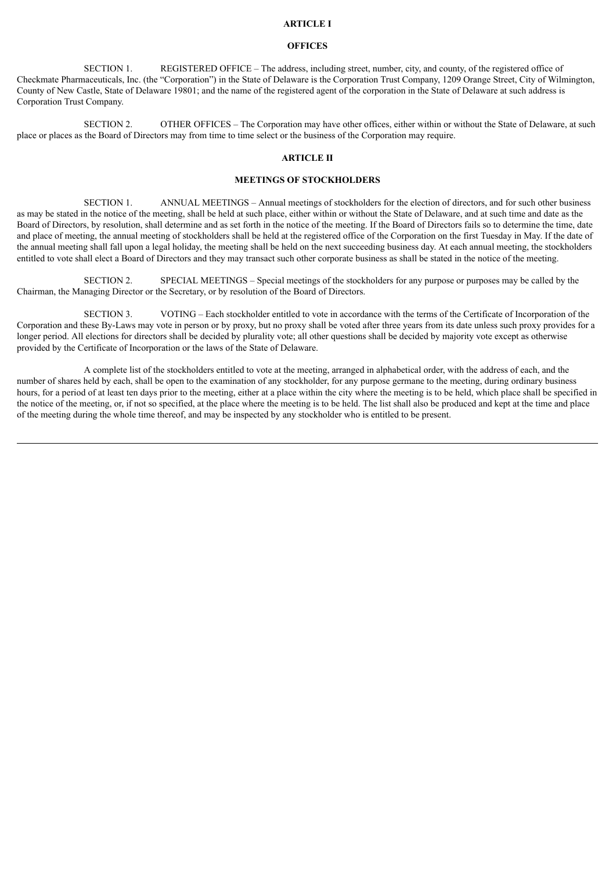#### **ARTICLE I**

#### **OFFICES**

SECTION 1. REGISTERED OFFICE – The address, including street, number, city, and county, of the registered office of Checkmate Pharmaceuticals, Inc. (the "Corporation") in the State of Delaware is the Corporation Trust Company, 1209 Orange Street, City of Wilmington, County of New Castle, State of Delaware 19801; and the name of the registered agent of the corporation in the State of Delaware at such address is Corporation Trust Company.

SECTION 2. OTHER OFFICES – The Corporation may have other offices, either within or without the State of Delaware, at such place or places as the Board of Directors may from time to time select or the business of the Corporation may require.

## **ARTICLE II**

#### **MEETINGS OF STOCKHOLDERS**

SECTION 1. ANNUAL MEETINGS – Annual meetings of stockholders for the election of directors, and for such other business as may be stated in the notice of the meeting, shall be held at such place, either within or without the State of Delaware, and at such time and date as the Board of Directors, by resolution, shall determine and as set forth in the notice of the meeting. If the Board of Directors fails so to determine the time, date and place of meeting, the annual meeting of stockholders shall be held at the registered office of the Corporation on the first Tuesday in May. If the date of the annual meeting shall fall upon a legal holiday, the meeting shall be held on the next succeeding business day. At each annual meeting, the stockholders entitled to vote shall elect a Board of Directors and they may transact such other corporate business as shall be stated in the notice of the meeting.

SECTION 2. SPECIAL MEETINGS – Special meetings of the stockholders for any purpose or purposes may be called by the Chairman, the Managing Director or the Secretary, or by resolution of the Board of Directors.

SECTION 3. VOTING – Each stockholder entitled to vote in accordance with the terms of the Certificate of Incorporation of the Corporation and these By-Laws may vote in person or by proxy, but no proxy shall be voted after three years from its date unless such proxy provides for a longer period. All elections for directors shall be decided by plurality vote; all other questions shall be decided by majority vote except as otherwise provided by the Certificate of Incorporation or the laws of the State of Delaware.

A complete list of the stockholders entitled to vote at the meeting, arranged in alphabetical order, with the address of each, and the number of shares held by each, shall be open to the examination of any stockholder, for any purpose germane to the meeting, during ordinary business hours, for a period of at least ten days prior to the meeting, either at a place within the city where the meeting is to be held, which place shall be specified in the notice of the meeting, or, if not so specified, at the place where the meeting is to be held. The list shall also be produced and kept at the time and place of the meeting during the whole time thereof, and may be inspected by any stockholder who is entitled to be present.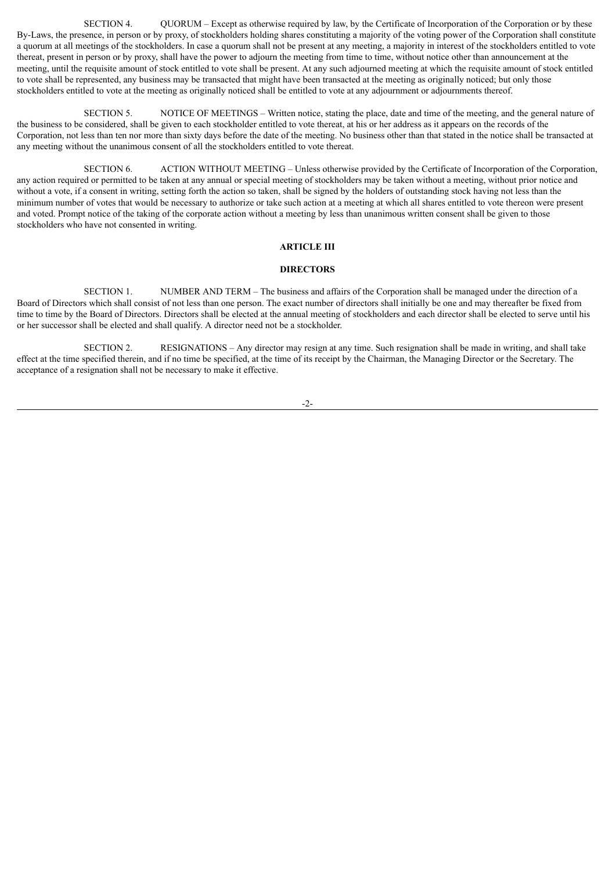SECTION 4. QUORUM – Except as otherwise required by law, by the Certificate of Incorporation of the Corporation or by these By-Laws, the presence, in person or by proxy, of stockholders holding shares constituting a majority of the voting power of the Corporation shall constitute a quorum at all meetings of the stockholders. In case a quorum shall not be present at any meeting, a majority in interest of the stockholders entitled to vote thereat, present in person or by proxy, shall have the power to adjourn the meeting from time to time, without notice other than announcement at the meeting, until the requisite amount of stock entitled to vote shall be present. At any such adjourned meeting at which the requisite amount of stock entitled to vote shall be represented, any business may be transacted that might have been transacted at the meeting as originally noticed; but only those stockholders entitled to vote at the meeting as originally noticed shall be entitled to vote at any adjournment or adjournments thereof.

SECTION 5. NOTICE OF MEETINGS – Written notice, stating the place, date and time of the meeting, and the general nature of the business to be considered, shall be given to each stockholder entitled to vote thereat, at his or her address as it appears on the records of the Corporation, not less than ten nor more than sixty days before the date of the meeting. No business other than that stated in the notice shall be transacted at any meeting without the unanimous consent of all the stockholders entitled to vote thereat.

SECTION 6. ACTION WITHOUT MEETING – Unless otherwise provided by the Certificate of Incorporation of the Corporation, any action required or permitted to be taken at any annual or special meeting of stockholders may be taken without a meeting, without prior notice and without a vote, if a consent in writing, setting forth the action so taken, shall be signed by the holders of outstanding stock having not less than the minimum number of votes that would be necessary to authorize or take such action at a meeting at which all shares entitled to vote thereon were present and voted. Prompt notice of the taking of the corporate action without a meeting by less than unanimous written consent shall be given to those stockholders who have not consented in writing.

## **ARTICLE III**

#### **DIRECTORS**

SECTION 1. NUMBER AND TERM – The business and affairs of the Corporation shall be managed under the direction of a Board of Directors which shall consist of not less than one person. The exact number of directors shall initially be one and may thereafter be fixed from time to time by the Board of Directors. Directors shall be elected at the annual meeting of stockholders and each director shall be elected to serve until his or her successor shall be elected and shall qualify. A director need not be a stockholder.

SECTION 2. RESIGNATIONS – Any director may resign at any time. Such resignation shall be made in writing, and shall take effect at the time specified therein, and if no time be specified, at the time of its receipt by the Chairman, the Managing Director or the Secretary. The acceptance of a resignation shall not be necessary to make it effective.

-2-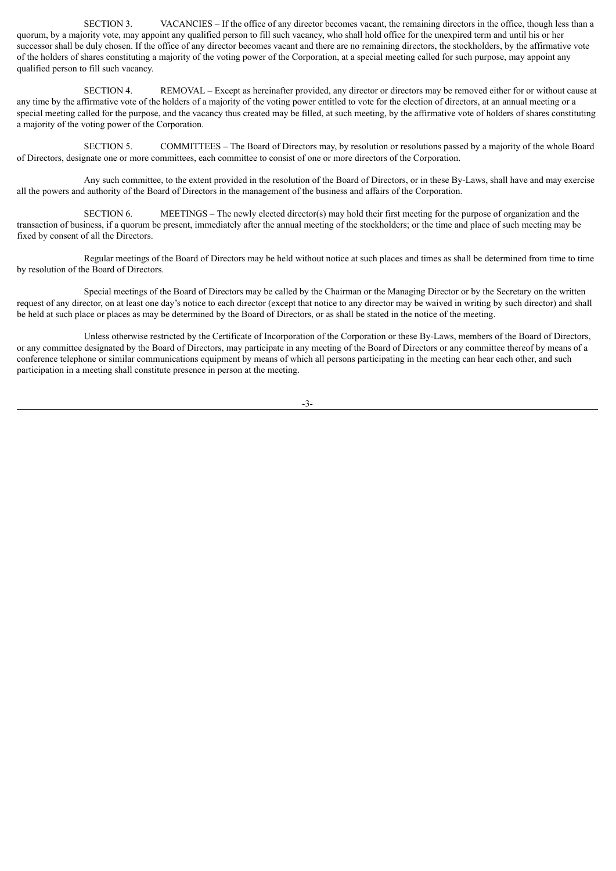SECTION 3. VACANCIES – If the office of any director becomes vacant, the remaining directors in the office, though less than a quorum, by a majority vote, may appoint any qualified person to fill such vacancy, who shall hold office for the unexpired term and until his or her successor shall be duly chosen. If the office of any director becomes vacant and there are no remaining directors, the stockholders, by the affirmative vote of the holders of shares constituting a majority of the voting power of the Corporation, at a special meeting called for such purpose, may appoint any qualified person to fill such vacancy.

SECTION 4. REMOVAL – Except as hereinafter provided, any director or directors may be removed either for or without cause at any time by the affirmative vote of the holders of a majority of the voting power entitled to vote for the election of directors, at an annual meeting or a special meeting called for the purpose, and the vacancy thus created may be filled, at such meeting, by the affirmative vote of holders of shares constituting a majority of the voting power of the Corporation.

SECTION 5. COMMITTEES – The Board of Directors may, by resolution or resolutions passed by a majority of the whole Board of Directors, designate one or more committees, each committee to consist of one or more directors of the Corporation.

Any such committee, to the extent provided in the resolution of the Board of Directors, or in these By-Laws, shall have and may exercise all the powers and authority of the Board of Directors in the management of the business and affairs of the Corporation.

SECTION 6. MEETINGS – The newly elected director(s) may hold their first meeting for the purpose of organization and the transaction of business, if a quorum be present, immediately after the annual meeting of the stockholders; or the time and place of such meeting may be fixed by consent of all the Directors.

Regular meetings of the Board of Directors may be held without notice at such places and times as shall be determined from time to time by resolution of the Board of Directors.

Special meetings of the Board of Directors may be called by the Chairman or the Managing Director or by the Secretary on the written request of any director, on at least one day's notice to each director (except that notice to any director may be waived in writing by such director) and shall be held at such place or places as may be determined by the Board of Directors, or as shall be stated in the notice of the meeting.

Unless otherwise restricted by the Certificate of Incorporation of the Corporation or these By-Laws, members of the Board of Directors, or any committee designated by the Board of Directors, may participate in any meeting of the Board of Directors or any committee thereof by means of a conference telephone or similar communications equipment by means of which all persons participating in the meeting can hear each other, and such participation in a meeting shall constitute presence in person at the meeting.

-3-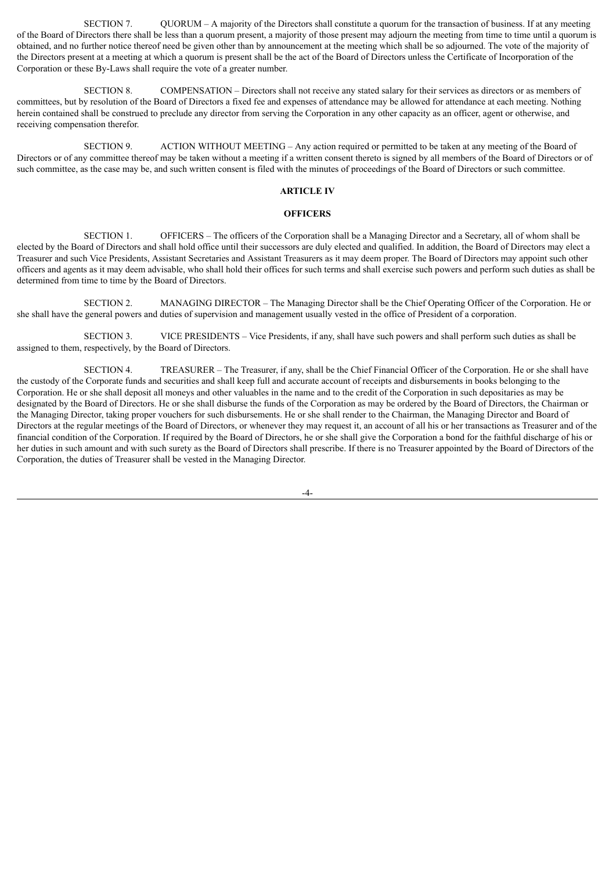SECTION 7. QUORUM – A majority of the Directors shall constitute a quorum for the transaction of business. If at any meeting of the Board of Directors there shall be less than a quorum present, a majority of those present may adjourn the meeting from time to time until a quorum is obtained, and no further notice thereof need be given other than by announcement at the meeting which shall be so adjourned. The vote of the majority of the Directors present at a meeting at which a quorum is present shall be the act of the Board of Directors unless the Certificate of Incorporation of the Corporation or these By-Laws shall require the vote of a greater number.

SECTION 8. COMPENSATION – Directors shall not receive any stated salary for their services as directors or as members of committees, but by resolution of the Board of Directors a fixed fee and expenses of attendance may be allowed for attendance at each meeting. Nothing herein contained shall be construed to preclude any director from serving the Corporation in any other capacity as an officer, agent or otherwise, and receiving compensation therefor.

SECTION 9. ACTION WITHOUT MEETING – Any action required or permitted to be taken at any meeting of the Board of Directors or of any committee thereof may be taken without a meeting if a written consent thereto is signed by all members of the Board of Directors or of such committee, as the case may be, and such written consent is filed with the minutes of proceedings of the Board of Directors or such committee.

## **ARTICLE IV**

#### **OFFICERS**

SECTION 1. OFFICERS – The officers of the Corporation shall be a Managing Director and a Secretary, all of whom shall be elected by the Board of Directors and shall hold office until their successors are duly elected and qualified. In addition, the Board of Directors may elect a Treasurer and such Vice Presidents, Assistant Secretaries and Assistant Treasurers as it may deem proper. The Board of Directors may appoint such other officers and agents as it may deem advisable, who shall hold their offices for such terms and shall exercise such powers and perform such duties as shall be determined from time to time by the Board of Directors.

SECTION 2. MANAGING DIRECTOR – The Managing Director shall be the Chief Operating Officer of the Corporation. He or she shall have the general powers and duties of supervision and management usually vested in the office of President of a corporation.

SECTION 3. VICE PRESIDENTS – Vice Presidents, if any, shall have such powers and shall perform such duties as shall be assigned to them, respectively, by the Board of Directors.

SECTION 4. TREASURER – The Treasurer, if any, shall be the Chief Financial Officer of the Corporation. He or she shall have the custody of the Corporate funds and securities and shall keep full and accurate account of receipts and disbursements in books belonging to the Corporation. He or she shall deposit all moneys and other valuables in the name and to the credit of the Corporation in such depositaries as may be designated by the Board of Directors. He or she shall disburse the funds of the Corporation as may be ordered by the Board of Directors, the Chairman or the Managing Director, taking proper vouchers for such disbursements. He or she shall render to the Chairman, the Managing Director and Board of Directors at the regular meetings of the Board of Directors, or whenever they may request it, an account of all his or her transactions as Treasurer and of the financial condition of the Corporation. If required by the Board of Directors, he or she shall give the Corporation a bond for the faithful discharge of his or her duties in such amount and with such surety as the Board of Directors shall prescribe. If there is no Treasurer appointed by the Board of Directors of the Corporation, the duties of Treasurer shall be vested in the Managing Director.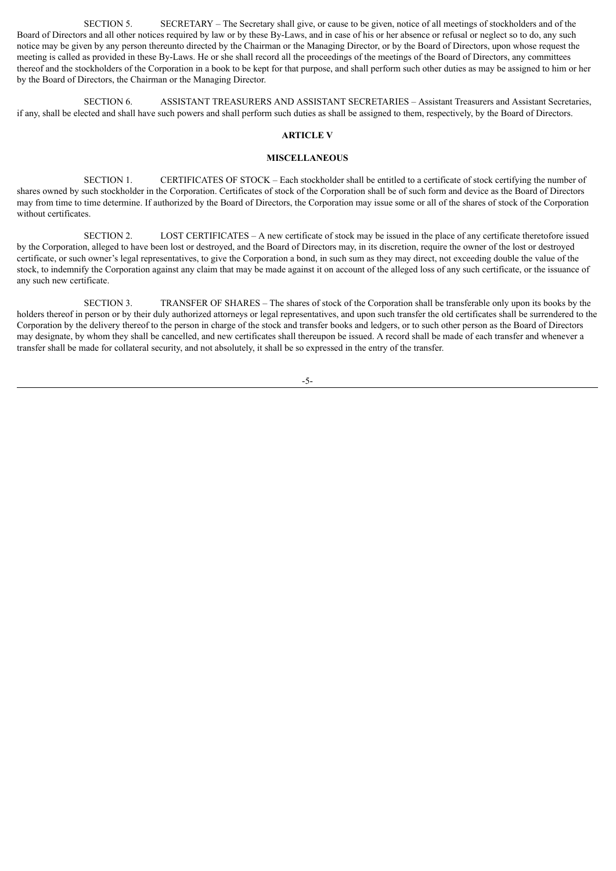SECTION 5. SECRETARY – The Secretary shall give, or cause to be given, notice of all meetings of stockholders and of the Board of Directors and all other notices required by law or by these By-Laws, and in case of his or her absence or refusal or neglect so to do, any such notice may be given by any person thereunto directed by the Chairman or the Managing Director, or by the Board of Directors, upon whose request the meeting is called as provided in these By-Laws. He or she shall record all the proceedings of the meetings of the Board of Directors, any committees thereof and the stockholders of the Corporation in a book to be kept for that purpose, and shall perform such other duties as may be assigned to him or her by the Board of Directors, the Chairman or the Managing Director.

SECTION 6. ASSISTANT TREASURERS AND ASSISTANT SECRETARIES – Assistant Treasurers and Assistant Secretaries, if any, shall be elected and shall have such powers and shall perform such duties as shall be assigned to them, respectively, by the Board of Directors.

#### **ARTICLE V**

#### **MISCELLANEOUS**

SECTION 1. CERTIFICATES OF STOCK – Each stockholder shall be entitled to a certificate of stock certifying the number of shares owned by such stockholder in the Corporation. Certificates of stock of the Corporation shall be of such form and device as the Board of Directors may from time to time determine. If authorized by the Board of Directors, the Corporation may issue some or all of the shares of stock of the Corporation without certificates

SECTION 2. LOST CERTIFICATES – A new certificate of stock may be issued in the place of any certificate theretofore issued by the Corporation, alleged to have been lost or destroyed, and the Board of Directors may, in its discretion, require the owner of the lost or destroyed certificate, or such owner's legal representatives, to give the Corporation a bond, in such sum as they may direct, not exceeding double the value of the stock, to indemnify the Corporation against any claim that may be made against it on account of the alleged loss of any such certificate, or the issuance of any such new certificate.

SECTION 3. TRANSFER OF SHARES – The shares of stock of the Corporation shall be transferable only upon its books by the holders thereof in person or by their duly authorized attorneys or legal representatives, and upon such transfer the old certificates shall be surrendered to the Corporation by the delivery thereof to the person in charge of the stock and transfer books and ledgers, or to such other person as the Board of Directors may designate, by whom they shall be cancelled, and new certificates shall thereupon be issued. A record shall be made of each transfer and whenever a transfer shall be made for collateral security, and not absolutely, it shall be so expressed in the entry of the transfer.

-5-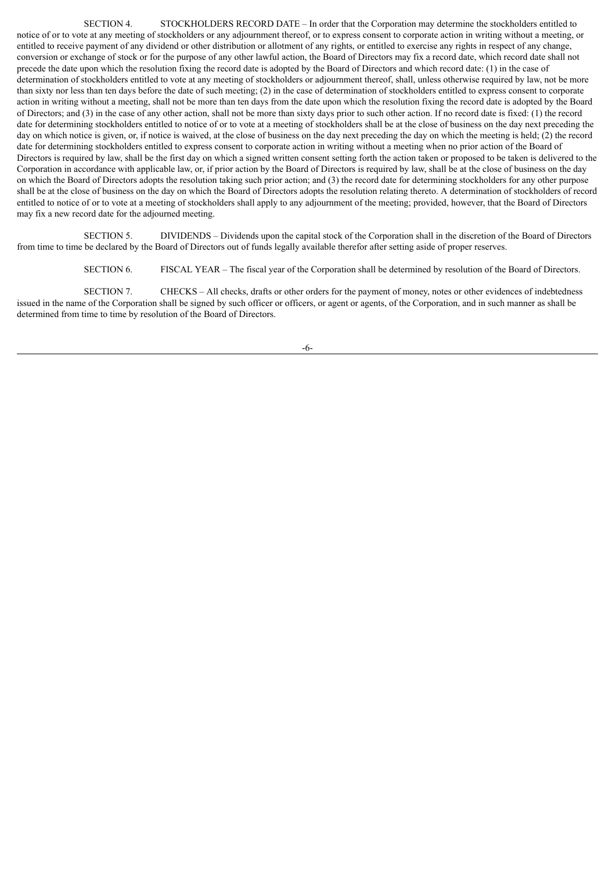SECTION 4. STOCKHOLDERS RECORD DATE – In order that the Corporation may determine the stockholders entitled to notice of or to vote at any meeting of stockholders or any adjournment thereof, or to express consent to corporate action in writing without a meeting, or entitled to receive payment of any dividend or other distribution or allotment of any rights, or entitled to exercise any rights in respect of any change, conversion or exchange of stock or for the purpose of any other lawful action, the Board of Directors may fix a record date, which record date shall not precede the date upon which the resolution fixing the record date is adopted by the Board of Directors and which record date: (1) in the case of determination of stockholders entitled to vote at any meeting of stockholders or adjournment thereof, shall, unless otherwise required by law, not be more than sixty nor less than ten days before the date of such meeting; (2) in the case of determination of stockholders entitled to express consent to corporate action in writing without a meeting, shall not be more than ten days from the date upon which the resolution fixing the record date is adopted by the Board of Directors; and (3) in the case of any other action, shall not be more than sixty days prior to such other action. If no record date is fixed: (1) the record date for determining stockholders entitled to notice of or to vote at a meeting of stockholders shall be at the close of business on the day next preceding the day on which notice is given, or, if notice is waived, at the close of business on the day next preceding the day on which the meeting is held; (2) the record date for determining stockholders entitled to express consent to corporate action in writing without a meeting when no prior action of the Board of Directors is required by law, shall be the first day on which a signed written consent setting forth the action taken or proposed to be taken is delivered to the Corporation in accordance with applicable law, or, if prior action by the Board of Directors is required by law, shall be at the close of business on the day on which the Board of Directors adopts the resolution taking such prior action; and (3) the record date for determining stockholders for any other purpose shall be at the close of business on the day on which the Board of Directors adopts the resolution relating thereto. A determination of stockholders of record entitled to notice of or to vote at a meeting of stockholders shall apply to any adjournment of the meeting; provided, however, that the Board of Directors may fix a new record date for the adjourned meeting.

SECTION 5. DIVIDENDS – Dividends upon the capital stock of the Corporation shall in the discretion of the Board of Directors from time to time be declared by the Board of Directors out of funds legally available therefor after setting aside of proper reserves.

SECTION 6. FISCAL YEAR – The fiscal year of the Corporation shall be determined by resolution of the Board of Directors.

SECTION 7. CHECKS – All checks, drafts or other orders for the payment of money, notes or other evidences of indebtedness issued in the name of the Corporation shall be signed by such officer or officers, or agent or agents, of the Corporation, and in such manner as shall be determined from time to time by resolution of the Board of Directors.

-6-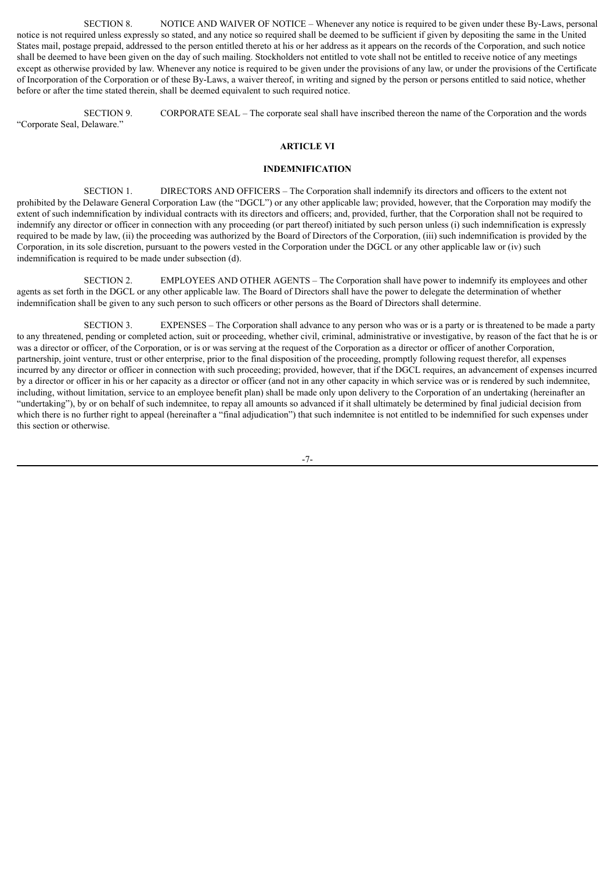SECTION 8. NOTICE AND WAIVER OF NOTICE – Whenever any notice is required to be given under these By-Laws, personal notice is not required unless expressly so stated, and any notice so required shall be deemed to be sufficient if given by depositing the same in the United States mail, postage prepaid, addressed to the person entitled thereto at his or her address as it appears on the records of the Corporation, and such notice shall be deemed to have been given on the day of such mailing. Stockholders not entitled to vote shall not be entitled to receive notice of any meetings except as otherwise provided by law. Whenever any notice is required to be given under the provisions of any law, or under the provisions of the Certificate of Incorporation of the Corporation or of these By-Laws, a waiver thereof, in writing and signed by the person or persons entitled to said notice, whether before or after the time stated therein, shall be deemed equivalent to such required notice.

SECTION 9. CORPORATE SEAL – The corporate seal shall have inscribed thereon the name of the Corporation and the words "Corporate Seal, Delaware."

#### **ARTICLE VI**

#### **INDEMNIFICATION**

SECTION 1. DIRECTORS AND OFFICERS – The Corporation shall indemnify its directors and officers to the extent not prohibited by the Delaware General Corporation Law (the "DGCL") or any other applicable law; provided, however, that the Corporation may modify the extent of such indemnification by individual contracts with its directors and officers; and, provided, further, that the Corporation shall not be required to indemnify any director or officer in connection with any proceeding (or part thereof) initiated by such person unless (i) such indemnification is expressly required to be made by law, (ii) the proceeding was authorized by the Board of Directors of the Corporation, (iii) such indemnification is provided by the Corporation, in its sole discretion, pursuant to the powers vested in the Corporation under the DGCL or any other applicable law or (iv) such indemnification is required to be made under subsection (d).

SECTION 2. EMPLOYEES AND OTHER AGENTS – The Corporation shall have power to indemnify its employees and other agents as set forth in the DGCL or any other applicable law. The Board of Directors shall have the power to delegate the determination of whether indemnification shall be given to any such person to such officers or other persons as the Board of Directors shall determine.

SECTION 3. EXPENSES – The Corporation shall advance to any person who was or is a party or is threatened to be made a party to any threatened, pending or completed action, suit or proceeding, whether civil, criminal, administrative or investigative, by reason of the fact that he is or was a director or officer, of the Corporation, or is or was serving at the request of the Corporation as a director or officer of another Corporation, partnership, joint venture, trust or other enterprise, prior to the final disposition of the proceeding, promptly following request therefor, all expenses incurred by any director or officer in connection with such proceeding; provided, however, that if the DGCL requires, an advancement of expenses incurred by a director or officer in his or her capacity as a director or officer (and not in any other capacity in which service was or is rendered by such indemnitee, including, without limitation, service to an employee benefit plan) shall be made only upon delivery to the Corporation of an undertaking (hereinafter an "undertaking"), by or on behalf of such indemnitee, to repay all amounts so advanced if it shall ultimately be determined by final judicial decision from which there is no further right to appeal (hereinafter a "final adjudication") that such indemnitee is not entitled to be indemnified for such expenses under this section or otherwise.

-7-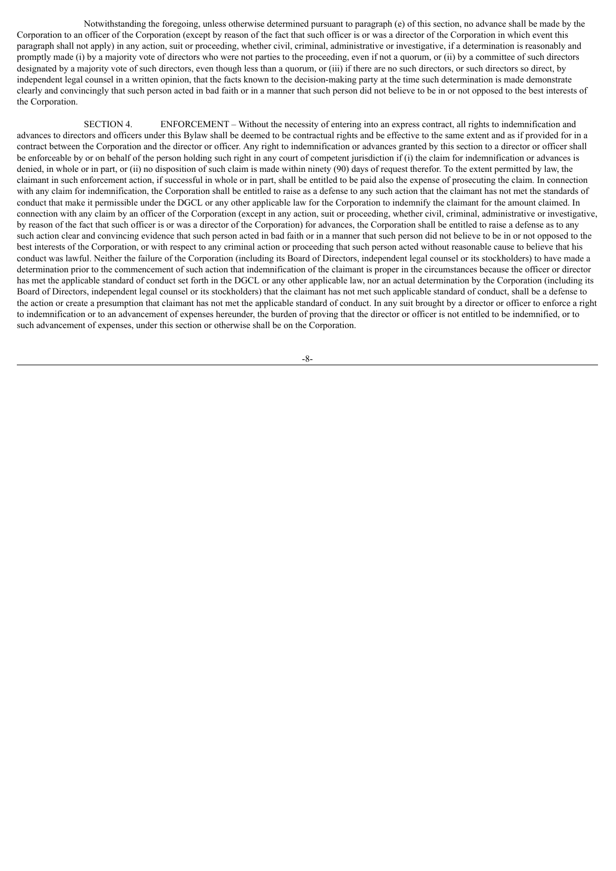Notwithstanding the foregoing, unless otherwise determined pursuant to paragraph (e) of this section, no advance shall be made by the Corporation to an officer of the Corporation (except by reason of the fact that such officer is or was a director of the Corporation in which event this paragraph shall not apply) in any action, suit or proceeding, whether civil, criminal, administrative or investigative, if a determination is reasonably and promptly made (i) by a majority vote of directors who were not parties to the proceeding, even if not a quorum, or (ii) by a committee of such directors designated by a majority vote of such directors, even though less than a quorum, or (iii) if there are no such directors, or such directors so direct, by independent legal counsel in a written opinion, that the facts known to the decision-making party at the time such determination is made demonstrate clearly and convincingly that such person acted in bad faith or in a manner that such person did not believe to be in or not opposed to the best interests of the Corporation.

SECTION 4. ENFORCEMENT – Without the necessity of entering into an express contract, all rights to indemnification and advances to directors and officers under this Bylaw shall be deemed to be contractual rights and be effective to the same extent and as if provided for in a contract between the Corporation and the director or officer. Any right to indemnification or advances granted by this section to a director or officer shall be enforceable by or on behalf of the person holding such right in any court of competent jurisdiction if (i) the claim for indemnification or advances is denied, in whole or in part, or (ii) no disposition of such claim is made within ninety (90) days of request therefor. To the extent permitted by law, the claimant in such enforcement action, if successful in whole or in part, shall be entitled to be paid also the expense of prosecuting the claim. In connection with any claim for indemnification, the Corporation shall be entitled to raise as a defense to any such action that the claimant has not met the standards of conduct that make it permissible under the DGCL or any other applicable law for the Corporation to indemnify the claimant for the amount claimed. In connection with any claim by an officer of the Corporation (except in any action, suit or proceeding, whether civil, criminal, administrative or investigative, by reason of the fact that such officer is or was a director of the Corporation) for advances, the Corporation shall be entitled to raise a defense as to any such action clear and convincing evidence that such person acted in bad faith or in a manner that such person did not believe to be in or not opposed to the best interests of the Corporation, or with respect to any criminal action or proceeding that such person acted without reasonable cause to believe that his conduct was lawful. Neither the failure of the Corporation (including its Board of Directors, independent legal counsel or its stockholders) to have made a determination prior to the commencement of such action that indemnification of the claimant is proper in the circumstances because the officer or director has met the applicable standard of conduct set forth in the DGCL or any other applicable law, nor an actual determination by the Corporation (including its Board of Directors, independent legal counsel or its stockholders) that the claimant has not met such applicable standard of conduct, shall be a defense to the action or create a presumption that claimant has not met the applicable standard of conduct. In any suit brought by a director or officer to enforce a right to indemnification or to an advancement of expenses hereunder, the burden of proving that the director or officer is not entitled to be indemnified, or to such advancement of expenses, under this section or otherwise shall be on the Corporation.

-8-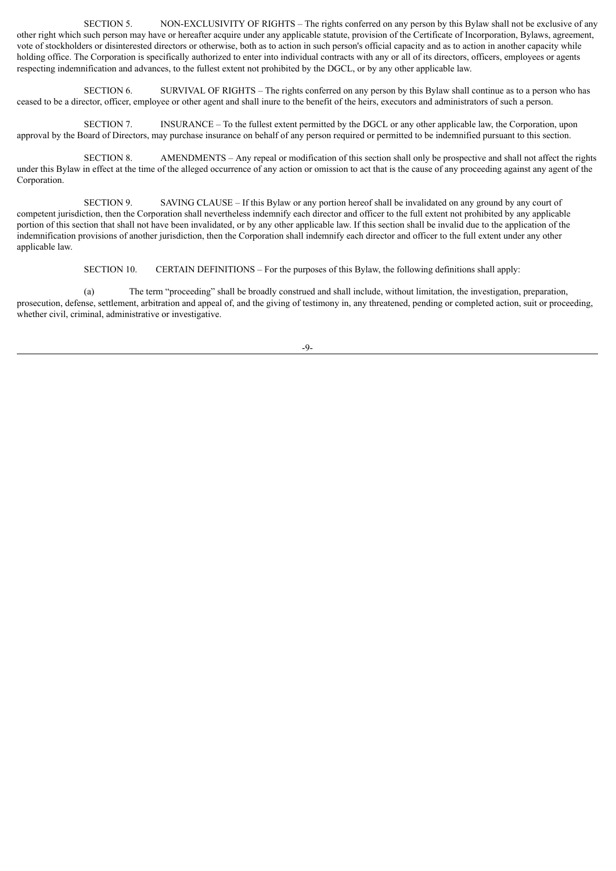SECTION 5. NON-EXCLUSIVITY OF RIGHTS – The rights conferred on any person by this Bylaw shall not be exclusive of any other right which such person may have or hereafter acquire under any applicable statute, provision of the Certificate of Incorporation, Bylaws, agreement, vote of stockholders or disinterested directors or otherwise, both as to action in such person's official capacity and as to action in another capacity while holding office. The Corporation is specifically authorized to enter into individual contracts with any or all of its directors, officers, employees or agents respecting indemnification and advances, to the fullest extent not prohibited by the DGCL, or by any other applicable law.

SECTION 6. SURVIVAL OF RIGHTS – The rights conferred on any person by this Bylaw shall continue as to a person who has ceased to be a director, officer, employee or other agent and shall inure to the benefit of the heirs, executors and administrators of such a person.

SECTION 7. INSURANCE – To the fullest extent permitted by the DGCL or any other applicable law, the Corporation, upon approval by the Board of Directors, may purchase insurance on behalf of any person required or permitted to be indemnified pursuant to this section.

SECTION 8. AMENDMENTS – Any repeal or modification of this section shall only be prospective and shall not affect the rights under this Bylaw in effect at the time of the alleged occurrence of any action or omission to act that is the cause of any proceeding against any agent of the Corporation.

SECTION 9. SAVING CLAUSE – If this Bylaw or any portion hereof shall be invalidated on any ground by any court of competent jurisdiction, then the Corporation shall nevertheless indemnify each director and officer to the full extent not prohibited by any applicable portion of this section that shall not have been invalidated, or by any other applicable law. If this section shall be invalid due to the application of the indemnification provisions of another jurisdiction, then the Corporation shall indemnify each director and officer to the full extent under any other applicable law.

SECTION 10. CERTAIN DEFINITIONS – For the purposes of this Bylaw, the following definitions shall apply:

(a) The term "proceeding" shall be broadly construed and shall include, without limitation, the investigation, preparation, prosecution, defense, settlement, arbitration and appeal of, and the giving of testimony in, any threatened, pending or completed action, suit or proceeding, whether civil, criminal, administrative or investigative.

 $-9$